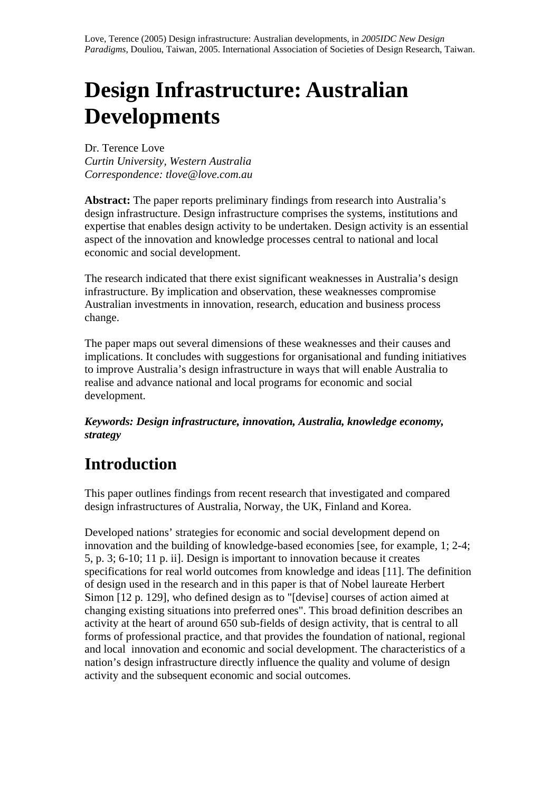# **Design Infrastructure: Australian Developments**

Dr. Terence Love *Curtin University, Western Australia Correspondence: tlove@love.com.au*

**Abstract:** The paper reports preliminary findings from research into Australia's design infrastructure. Design infrastructure comprises the systems, institutions and expertise that enables design activity to be undertaken. Design activity is an essential aspect of the innovation and knowledge processes central to national and local economic and social development.

The research indicated that there exist significant weaknesses in Australia's design infrastructure. By implication and observation, these weaknesses compromise Australian investments in innovation, research, education and business process change.

The paper maps out several dimensions of these weaknesses and their causes and implications. It concludes with suggestions for organisational and funding initiatives to improve Australia's design infrastructure in ways that will enable Australia to realise and advance national and local programs for economic and social development.

*Keywords: Design infrastructure, innovation, Australia, knowledge economy, strategy*

## **Introduction**

This paper outlines findings from recent research that investigated and compared design infrastructures of Australia, Norway, the UK, Finland and Korea.

Developed nations' strategies for economic and social development depend on innovation and the building of knowledge-based economies [see, for example, 1; 2-4; 5, p. 3; 6-10; 11 p. ii]. Design is important to innovation because it creates specifications for real world outcomes from knowledge and ideas [11]. The definition of design used in the research and in this paper is that of Nobel laureate Herbert Simon [12 p. 129], who defined design as to "[devise] courses of action aimed at changing existing situations into preferred ones". This broad definition describes an activity at the heart of around 650 sub-fields of design activity, that is central to all forms of professional practice, and that provides the foundation of national, regional and local innovation and economic and social development. The characteristics of a nation's design infrastructure directly influence the quality and volume of design activity and the subsequent economic and social outcomes.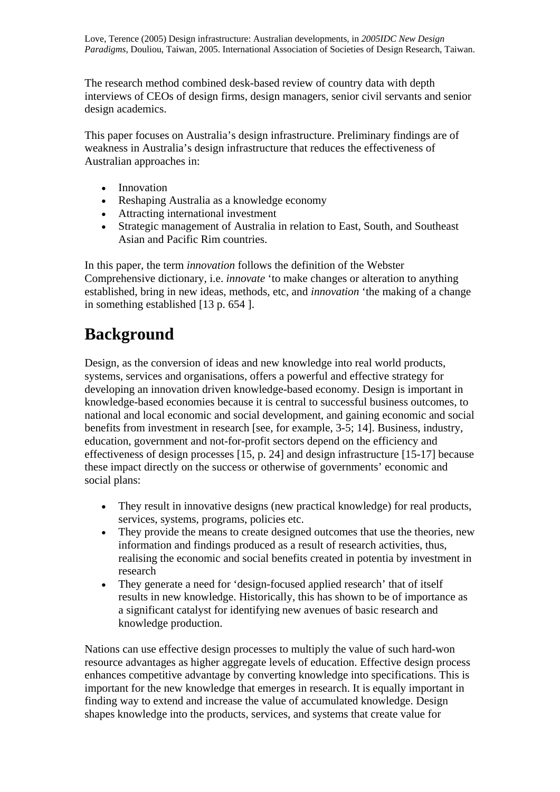The research method combined desk-based review of country data with depth interviews of CEOs of design firms, design managers, senior civil servants and senior design academics.

This paper focuses on Australia's design infrastructure. Preliminary findings are of weakness in Australia's design infrastructure that reduces the effectiveness of Australian approaches in:

- Innovation
- Reshaping Australia as a knowledge economy
- Attracting international investment
- Strategic management of Australia in relation to East, South, and Southeast Asian and Pacific Rim countries.

In this paper, the term *innovation* follows the definition of the Webster Comprehensive dictionary, i.e. *innovate* 'to make changes or alteration to anything established, bring in new ideas, methods, etc, and *innovation* 'the making of a change in something established [13 p. 654 ].

### **Background**

Design, as the conversion of ideas and new knowledge into real world products, systems, services and organisations, offers a powerful and effective strategy for developing an innovation driven knowledge-based economy. Design is important in knowledge-based economies because it is central to successful business outcomes, to national and local economic and social development, and gaining economic and social benefits from investment in research [see, for example, 3-5; 14]. Business, industry, education, government and not-for-profit sectors depend on the efficiency and effectiveness of design processes [15, p. 24] and design infrastructure [15-17] because these impact directly on the success or otherwise of governments' economic and social plans:

- They result in innovative designs (new practical knowledge) for real products, services, systems, programs, policies etc.
- They provide the means to create designed outcomes that use the theories, new information and findings produced as a result of research activities, thus, realising the economic and social benefits created in potentia by investment in research
- They generate a need for 'design-focused applied research' that of itself results in new knowledge. Historically, this has shown to be of importance as a significant catalyst for identifying new avenues of basic research and knowledge production.

Nations can use effective design processes to multiply the value of such hard-won resource advantages as higher aggregate levels of education. Effective design process enhances competitive advantage by converting knowledge into specifications. This is important for the new knowledge that emerges in research. It is equally important in finding way to extend and increase the value of accumulated knowledge. Design shapes knowledge into the products, services, and systems that create value for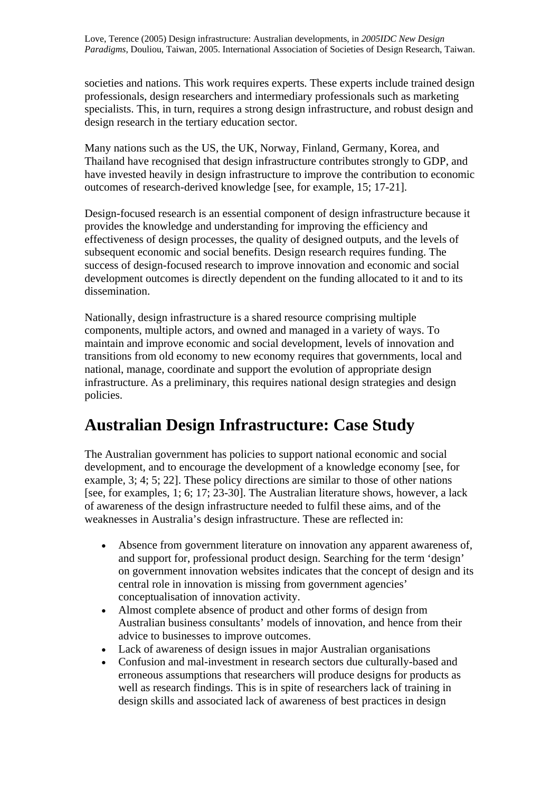societies and nations. This work requires experts. These experts include trained design professionals, design researchers and intermediary professionals such as marketing specialists. This, in turn, requires a strong design infrastructure, and robust design and design research in the tertiary education sector.

Many nations such as the US, the UK, Norway, Finland, Germany, Korea, and Thailand have recognised that design infrastructure contributes strongly to GDP, and have invested heavily in design infrastructure to improve the contribution to economic outcomes of research-derived knowledge [see, for example, 15; 17-21].

Design-focused research is an essential component of design infrastructure because it provides the knowledge and understanding for improving the efficiency and effectiveness of design processes, the quality of designed outputs, and the levels of subsequent economic and social benefits. Design research requires funding. The success of design-focused research to improve innovation and economic and social development outcomes is directly dependent on the funding allocated to it and to its dissemination.

Nationally, design infrastructure is a shared resource comprising multiple components, multiple actors, and owned and managed in a variety of ways. To maintain and improve economic and social development, levels of innovation and transitions from old economy to new economy requires that governments, local and national, manage, coordinate and support the evolution of appropriate design infrastructure. As a preliminary, this requires national design strategies and design policies.

### **Australian Design Infrastructure: Case Study**

The Australian government has policies to support national economic and social development, and to encourage the development of a knowledge economy [see, for example, 3; 4; 5; 22]. These policy directions are similar to those of other nations [see, for examples, 1; 6; 17; 23-30]. The Australian literature shows, however, a lack of awareness of the design infrastructure needed to fulfil these aims, and of the weaknesses in Australia's design infrastructure. These are reflected in:

- Absence from government literature on innovation any apparent awareness of, and support for, professional product design. Searching for the term 'design' on government innovation websites indicates that the concept of design and its central role in innovation is missing from government agencies' conceptualisation of innovation activity.
- Almost complete absence of product and other forms of design from Australian business consultants' models of innovation, and hence from their advice to businesses to improve outcomes.
- Lack of awareness of design issues in major Australian organisations
- Confusion and mal-investment in research sectors due culturally-based and erroneous assumptions that researchers will produce designs for products as well as research findings. This is in spite of researchers lack of training in design skills and associated lack of awareness of best practices in design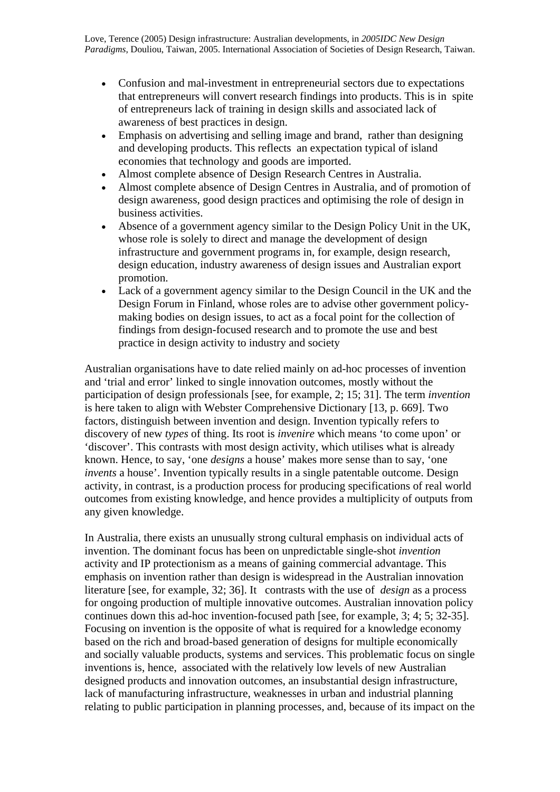- Confusion and mal-investment in entrepreneurial sectors due to expectations that entrepreneurs will convert research findings into products. This is in spite of entrepreneurs lack of training in design skills and associated lack of awareness of best practices in design.
- Emphasis on advertising and selling image and brand, rather than designing and developing products. This reflects an expectation typical of island economies that technology and goods are imported.
- Almost complete absence of Design Research Centres in Australia.
- Almost complete absence of Design Centres in Australia, and of promotion of design awareness, good design practices and optimising the role of design in business activities.
- Absence of a government agency similar to the Design Policy Unit in the UK, whose role is solely to direct and manage the development of design infrastructure and government programs in, for example, design research, design education, industry awareness of design issues and Australian export promotion.
- Lack of a government agency similar to the Design Council in the UK and the Design Forum in Finland, whose roles are to advise other government policymaking bodies on design issues, to act as a focal point for the collection of findings from design-focused research and to promote the use and best practice in design activity to industry and society

Australian organisations have to date relied mainly on ad-hoc processes of invention and 'trial and error' linked to single innovation outcomes, mostly without the participation of design professionals [see, for example, 2; 15; 31]. The term *invention* is here taken to align with Webster Comprehensive Dictionary [13, p. 669]. Two factors, distinguish between invention and design. Invention typically refers to discovery of new *types* of thing. Its root is *invenire* which means 'to come upon' or 'discover'. This contrasts with most design activity, which utilises what is already known. Hence, to say, 'one *designs* a house' makes more sense than to say, 'one *invents* a house'. Invention typically results in a single patentable outcome. Design activity, in contrast, is a production process for producing specifications of real world outcomes from existing knowledge, and hence provides a multiplicity of outputs from any given knowledge.

In Australia, there exists an unusually strong cultural emphasis on individual acts of invention. The dominant focus has been on unpredictable single-shot *invention* activity and IP protectionism as a means of gaining commercial advantage. This emphasis on invention rather than design is widespread in the Australian innovation literature [see, for example, 32; 36]. It contrasts with the use of *design* as a process for ongoing production of multiple innovative outcomes. Australian innovation policy continues down this ad-hoc invention-focused path [see, for example, 3; 4; 5; 32-35]. Focusing on invention is the opposite of what is required for a knowledge economy based on the rich and broad-based generation of designs for multiple economically and socially valuable products, systems and services. This problematic focus on single inventions is, hence, associated with the relatively low levels of new Australian designed products and innovation outcomes, an insubstantial design infrastructure, lack of manufacturing infrastructure, weaknesses in urban and industrial planning relating to public participation in planning processes, and, because of its impact on the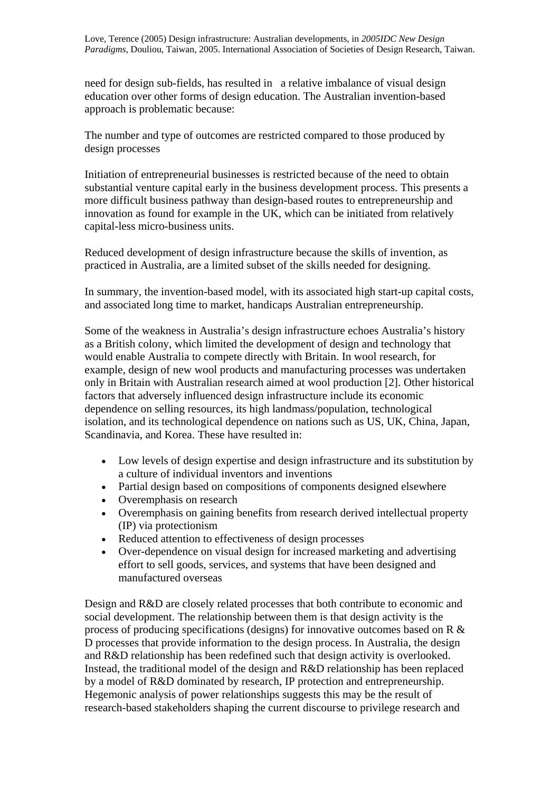need for design sub-fields, has resulted in a relative imbalance of visual design education over other forms of design education. The Australian invention-based approach is problematic because:

The number and type of outcomes are restricted compared to those produced by design processes

Initiation of entrepreneurial businesses is restricted because of the need to obtain substantial venture capital early in the business development process. This presents a more difficult business pathway than design-based routes to entrepreneurship and innovation as found for example in the UK, which can be initiated from relatively capital-less micro-business units.

Reduced development of design infrastructure because the skills of invention, as practiced in Australia, are a limited subset of the skills needed for designing.

In summary, the invention-based model, with its associated high start-up capital costs, and associated long time to market, handicaps Australian entrepreneurship.

Some of the weakness in Australia's design infrastructure echoes Australia's history as a British colony, which limited the development of design and technology that would enable Australia to compete directly with Britain. In wool research, for example, design of new wool products and manufacturing processes was undertaken only in Britain with Australian research aimed at wool production [2]. Other historical factors that adversely influenced design infrastructure include its economic dependence on selling resources, its high landmass/population, technological isolation, and its technological dependence on nations such as US, UK, China, Japan, Scandinavia, and Korea. These have resulted in:

- Low levels of design expertise and design infrastructure and its substitution by a culture of individual inventors and inventions
- Partial design based on compositions of components designed elsewhere
- Overemphasis on research
- Overemphasis on gaining benefits from research derived intellectual property (IP) via protectionism
- Reduced attention to effectiveness of design processes
- Over-dependence on visual design for increased marketing and advertising effort to sell goods, services, and systems that have been designed and manufactured overseas

Design and R&D are closely related processes that both contribute to economic and social development. The relationship between them is that design activity is the process of producing specifications (designs) for innovative outcomes based on R & D processes that provide information to the design process. In Australia, the design and R&D relationship has been redefined such that design activity is overlooked. Instead, the traditional model of the design and R&D relationship has been replaced by a model of R&D dominated by research, IP protection and entrepreneurship. Hegemonic analysis of power relationships suggests this may be the result of research-based stakeholders shaping the current discourse to privilege research and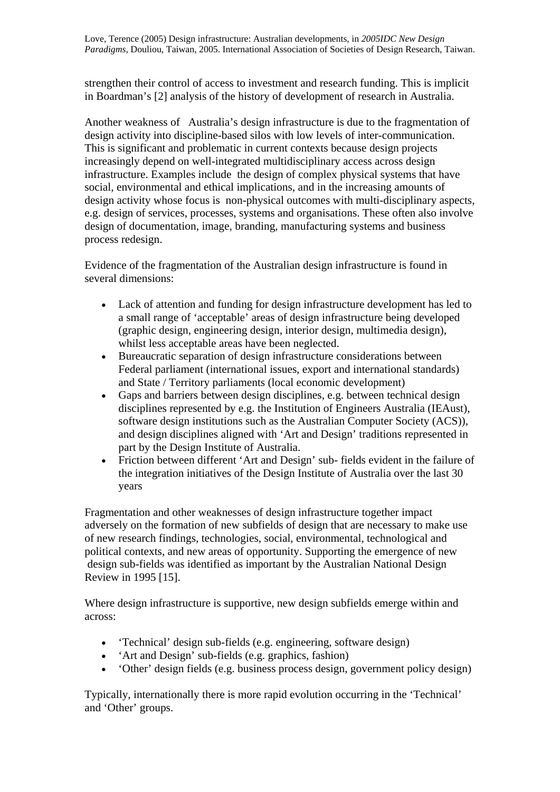strengthen their control of access to investment and research funding. This is implicit in Boardman's [2] analysis of the history of development of research in Australia.

Another weakness of Australia's design infrastructure is due to the fragmentation of design activity into discipline-based silos with low levels of inter-communication. This is significant and problematic in current contexts because design projects increasingly depend on well-integrated multidisciplinary access across design infrastructure. Examples include the design of complex physical systems that have social, environmental and ethical implications, and in the increasing amounts of design activity whose focus is non-physical outcomes with multi-disciplinary aspects, e.g. design of services, processes, systems and organisations. These often also involve design of documentation, image, branding, manufacturing systems and business process redesign.

Evidence of the fragmentation of the Australian design infrastructure is found in several dimensions:

- Lack of attention and funding for design infrastructure development has led to a small range of 'acceptable' areas of design infrastructure being developed (graphic design, engineering design, interior design, multimedia design), whilst less acceptable areas have been neglected.
- Bureaucratic separation of design infrastructure considerations between Federal parliament (international issues, export and international standards) and State / Territory parliaments (local economic development)
- Gaps and barriers between design disciplines, e.g. between technical design disciplines represented by e.g. the Institution of Engineers Australia (IEAust), software design institutions such as the Australian Computer Society (ACS)), and design disciplines aligned with 'Art and Design' traditions represented in part by the Design Institute of Australia.
- Friction between different 'Art and Design' sub- fields evident in the failure of the integration initiatives of the Design Institute of Australia over the last 30 years

Fragmentation and other weaknesses of design infrastructure together impact adversely on the formation of new subfields of design that are necessary to make use of new research findings, technologies, social, environmental, technological and political contexts, and new areas of opportunity. Supporting the emergence of new design sub-fields was identified as important by the Australian National Design Review in 1995 [15].

Where design infrastructure is supportive, new design subfields emerge within and across:

- 'Technical' design sub-fields (e.g. engineering, software design)
- 'Art and Design' sub-fields (e.g. graphics, fashion)
- 'Other' design fields (e.g. business process design, government policy design)

Typically, internationally there is more rapid evolution occurring in the 'Technical' and 'Other' groups.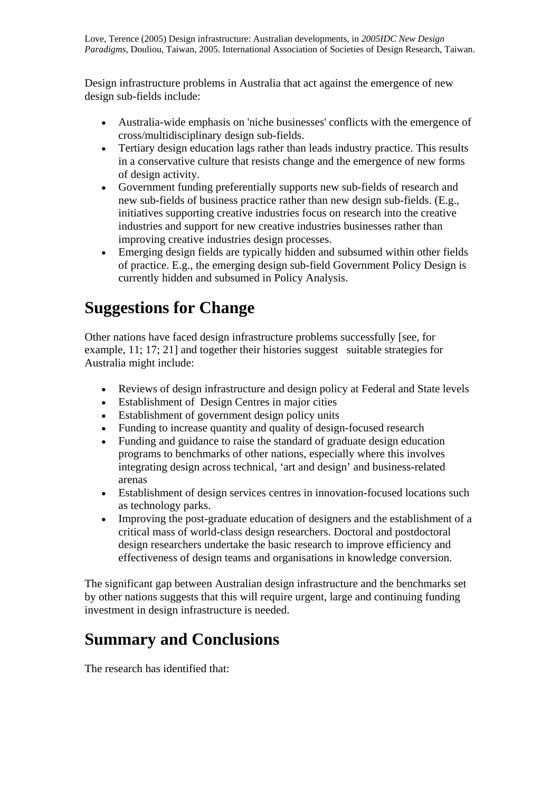Design infrastructure problems in Australia that act against the emergence of new design sub-fields include:

- Australia-wide emphasis on 'niche businesses' conflicts with the emergence of cross/multidisciplinary design sub-fields.
- Tertiary design education lags rather than leads industry practice. This results in a conservative culture that resists change and the emergence of new forms of design activity.
- Government funding preferentially supports new sub-fields of research and new sub-fields of business practice rather than new design sub-fields. (E.g., initiatives supporting creative industries focus on research into the creative industries and support for new creative industries businesses rather than improving creative industries design processes.
- Emerging design fields are typically hidden and subsumed within other fields of practice. E.g., the emerging design sub-field Government Policy Design is currently hidden and subsumed in Policy Analysis.

## **Suggestions for Change**

Other nations have faced design infrastructure problems successfully [see, for example, 11; 17; 21] and together their histories suggest suitable strategies for Australia might include:

- Reviews of design infrastructure and design policy at Federal and State levels
- Establishment of Design Centres in major cities
- Establishment of government design policy units
- Funding to increase quantity and quality of design-focused research
- Funding and guidance to raise the standard of graduate design education programs to benchmarks of other nations, especially where this involves integrating design across technical, 'art and design' and business-related arenas
- Establishment of design services centres in innovation-focused locations such as technology parks.
- Improving the post-graduate education of designers and the establishment of a critical mass of world-class design researchers. Doctoral and postdoctoral design researchers undertake the basic research to improve efficiency and effectiveness of design teams and organisations in knowledge conversion.

The significant gap between Australian design infrastructure and the benchmarks set by other nations suggests that this will require urgent, large and continuing funding investment in design infrastructure is needed.

## **Summary and Conclusions**

The research has identified that: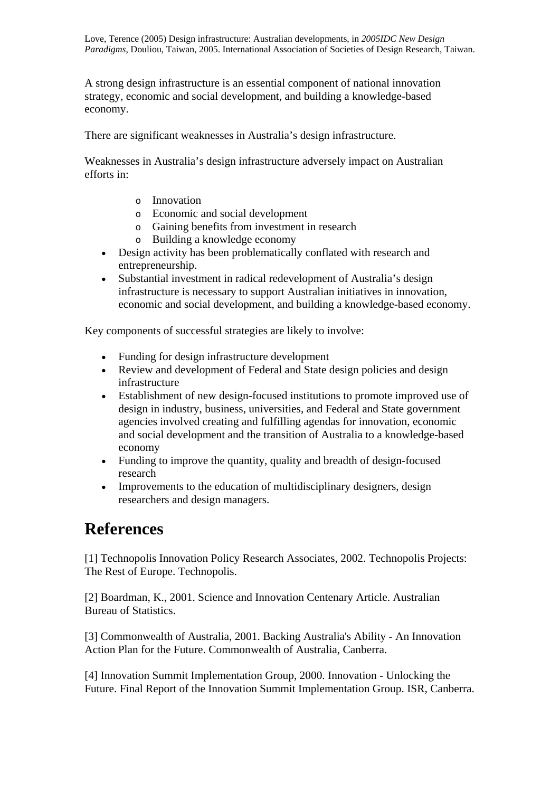A strong design infrastructure is an essential component of national innovation strategy, economic and social development, and building a knowledge-based economy.

There are significant weaknesses in Australia's design infrastructure.

Weaknesses in Australia's design infrastructure adversely impact on Australian efforts in:

- o Innovation
- o Economic and social development
- o Gaining benefits from investment in research
- o Building a knowledge economy
- Design activity has been problematically conflated with research and entrepreneurship.
- Substantial investment in radical redevelopment of Australia's design infrastructure is necessary to support Australian initiatives in innovation, economic and social development, and building a knowledge-based economy.

Key components of successful strategies are likely to involve:

- Funding for design infrastructure development
- Review and development of Federal and State design policies and design infrastructure
- Establishment of new design-focused institutions to promote improved use of design in industry, business, universities, and Federal and State government agencies involved creating and fulfilling agendas for innovation, economic and social development and the transition of Australia to a knowledge-based economy
- Funding to improve the quantity, quality and breadth of design-focused research
- Improvements to the education of multidisciplinary designers, design researchers and design managers.

#### **References**

[1] Technopolis Innovation Policy Research Associates, 2002. Technopolis Projects: The Rest of Europe. Technopolis.

[2] Boardman, K., 2001. Science and Innovation Centenary Article. Australian Bureau of Statistics.

[3] Commonwealth of Australia, 2001. Backing Australia's Ability - An Innovation Action Plan for the Future. Commonwealth of Australia, Canberra.

[4] Innovation Summit Implementation Group, 2000. Innovation - Unlocking the Future. Final Report of the Innovation Summit Implementation Group. ISR, Canberra.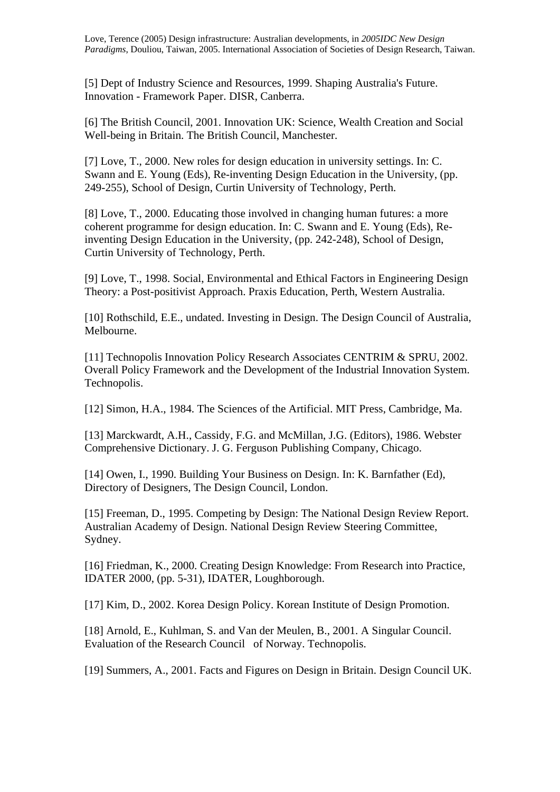[5] Dept of Industry Science and Resources, 1999. Shaping Australia's Future. Innovation - Framework Paper. DISR, Canberra.

[6] The British Council, 2001. Innovation UK: Science, Wealth Creation and Social Well-being in Britain. The British Council, Manchester.

[7] Love, T., 2000. New roles for design education in university settings. In: C. Swann and E. Young (Eds), Re-inventing Design Education in the University, (pp. 249-255), School of Design, Curtin University of Technology, Perth.

[8] Love, T., 2000. Educating those involved in changing human futures: a more coherent programme for design education. In: C. Swann and E. Young (Eds), Reinventing Design Education in the University, (pp. 242-248), School of Design, Curtin University of Technology, Perth.

[9] Love, T., 1998. Social, Environmental and Ethical Factors in Engineering Design Theory: a Post-positivist Approach. Praxis Education, Perth, Western Australia.

[10] Rothschild, E.E., undated. Investing in Design. The Design Council of Australia, Melbourne.

[11] Technopolis Innovation Policy Research Associates CENTRIM & SPRU, 2002. Overall Policy Framework and the Development of the Industrial Innovation System. Technopolis.

[12] Simon, H.A., 1984. The Sciences of the Artificial. MIT Press, Cambridge, Ma.

[13] Marckwardt, A.H., Cassidy, F.G. and McMillan, J.G. (Editors), 1986. Webster Comprehensive Dictionary. J. G. Ferguson Publishing Company, Chicago.

[14] Owen, I., 1990. Building Your Business on Design. In: K. Barnfather (Ed), Directory of Designers, The Design Council, London.

[15] Freeman, D., 1995. Competing by Design: The National Design Review Report. Australian Academy of Design. National Design Review Steering Committee, Sydney.

[16] Friedman, K., 2000. Creating Design Knowledge: From Research into Practice, IDATER 2000, (pp. 5-31), IDATER, Loughborough.

[17] Kim, D., 2002. Korea Design Policy. Korean Institute of Design Promotion.

[18] Arnold, E., Kuhlman, S. and Van der Meulen, B., 2001. A Singular Council. Evaluation of the Research Council of Norway. Technopolis.

[19] Summers, A., 2001. Facts and Figures on Design in Britain. Design Council UK.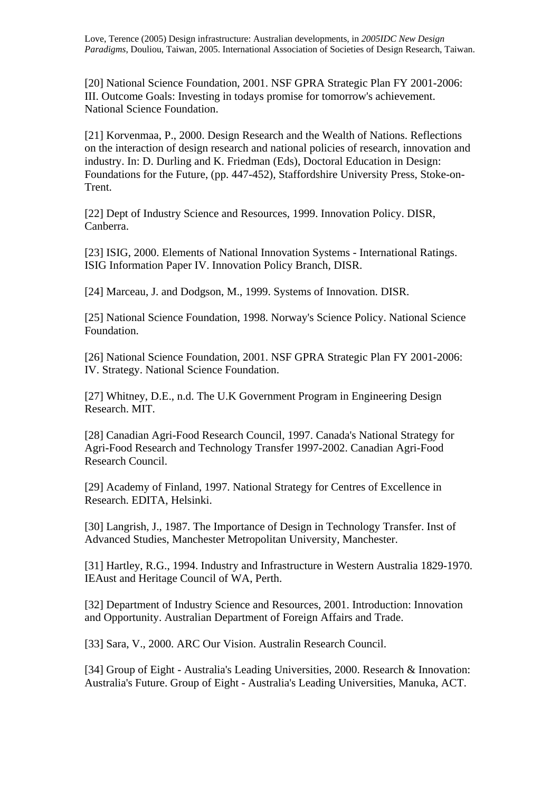[20] National Science Foundation, 2001. NSF GPRA Strategic Plan FY 2001-2006: III. Outcome Goals: Investing in todays promise for tomorrow's achievement. National Science Foundation.

[21] Korvenmaa, P., 2000. Design Research and the Wealth of Nations. Reflections on the interaction of design research and national policies of research, innovation and industry. In: D. Durling and K. Friedman (Eds), Doctoral Education in Design: Foundations for the Future, (pp. 447-452), Staffordshire University Press, Stoke-on-Trent.

[22] Dept of Industry Science and Resources, 1999. Innovation Policy. DISR, Canberra.

[23] ISIG, 2000. Elements of National Innovation Systems - International Ratings. ISIG Information Paper IV. Innovation Policy Branch, DISR.

[24] Marceau, J. and Dodgson, M., 1999. Systems of Innovation. DISR.

[25] National Science Foundation, 1998. Norway's Science Policy. National Science Foundation.

[26] National Science Foundation, 2001. NSF GPRA Strategic Plan FY 2001-2006: IV. Strategy. National Science Foundation.

[27] Whitney, D.E., n.d. The U.K Government Program in Engineering Design Research. MIT.

[28] Canadian Agri-Food Research Council, 1997. Canada's National Strategy for Agri-Food Research and Technology Transfer 1997-2002. Canadian Agri-Food Research Council.

[29] Academy of Finland, 1997. National Strategy for Centres of Excellence in Research. EDITA, Helsinki.

[30] Langrish, J., 1987. The Importance of Design in Technology Transfer. Inst of Advanced Studies, Manchester Metropolitan University, Manchester.

[31] Hartley, R.G., 1994. Industry and Infrastructure in Western Australia 1829-1970. IEAust and Heritage Council of WA, Perth.

[32] Department of Industry Science and Resources, 2001. Introduction: Innovation and Opportunity. Australian Department of Foreign Affairs and Trade.

[33] Sara, V., 2000. ARC Our Vision. Australin Research Council.

[34] Group of Eight - Australia's Leading Universities, 2000. Research & Innovation: Australia's Future. Group of Eight - Australia's Leading Universities, Manuka, ACT.